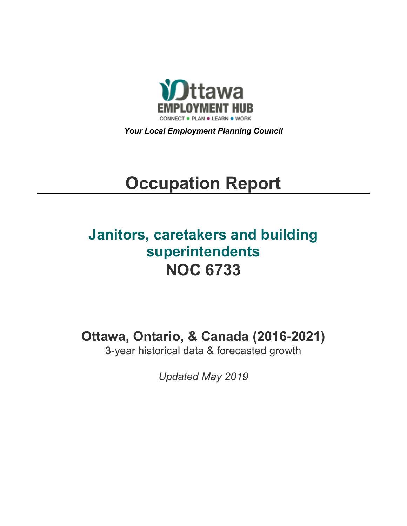

*Your Local Employment Planning Council*

# **Occupation Report**

# **Janitors, caretakers and building superintendents NOC 6733**

**Ottawa, Ontario, & Canada (2016-2021)**

3-year historical data & forecasted growth

*Updated May 2019*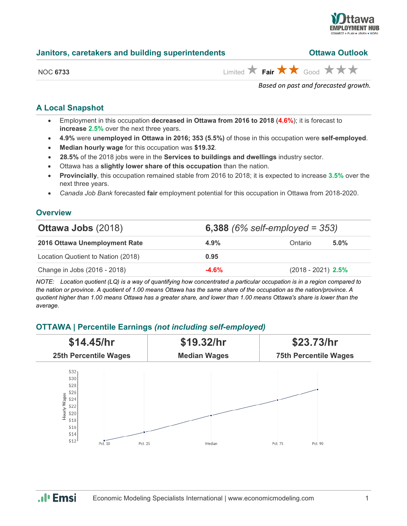

|                 | Based on past and forecasted growth.                                          |
|-----------------|-------------------------------------------------------------------------------|
| <b>NOC 6733</b> | Limited $\bigstar$ Fair $\bigstar \bigstar$ Good $\bigstar \bigstar \bigstar$ |
|                 |                                                                               |

**Janitors, caretakers and building superintendents Ottawa Outlook**

# **A Local Snapshot**

- Employment in this occupation **decreased in Ottawa from 2016 to 2018** (**4.6%**); it is forecast to **increase 2.5%** over the next three years.
- **4.9%** were **unemployed in Ottawa in 2016; 353 (5.5%)** of those in this occupation were **self-employed**.
- **Median hourly wage** for this occupation was **\$19.32**.
- **28.5%** of the 2018 jobs were in the **Services to buildings and dwellings** industry sector.
- Ottawa has a **slightly lower share of this occupation** than the nation.
- **Provincially**, this occupation remained stable from 2016 to 2018; it is expected to increase **3.5%** over the next three years.
- *Canada Job Bank* forecasted **fair** employment potential for this occupation in Ottawa from 2018-2020.

# **Overview**

| <b>Ottawa Jobs (2018)</b>          | 6,388 $(6\% \text{ self-employed} = 353)$ |                      |         |  |
|------------------------------------|-------------------------------------------|----------------------|---------|--|
| 2016 Ottawa Unemployment Rate      | $4.9\%$                                   | Ontario              | $5.0\%$ |  |
| Location Quotient to Nation (2018) | 0.95                                      |                      |         |  |
| Change in Jobs (2016 - 2018)       | $-4.6%$                                   | $(2018 - 2021)$ 2.5% |         |  |

*NOTE: Location quotient (LQ) is a way of quantifying how concentrated a particular occupation is in a region compared to the nation or province. A quotient of 1.00 means Ottawa has the same share of the occupation as the nation/province. A quotient higher than 1.00 means Ottawa has a greater share, and lower than 1.00 means Ottawa's share is lower than the average.*

### **OTTAWA | Percentile Earnings** *(not including self-employed)*



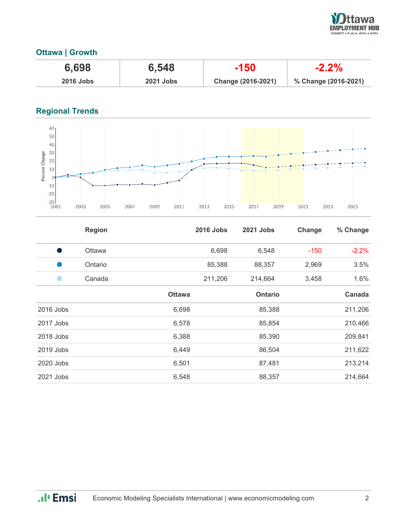

# **Ottawa | Growth**

| 6,698            | 6,548            | $-150$             | $-2.2\%$             |
|------------------|------------------|--------------------|----------------------|
| <b>2016 Jobs</b> | <b>2021 Jobs</b> | Change (2016-2021) | % Change (2016-2021) |

# **Regional Trends**



|           | <b>Region</b> |               | <b>2016 Jobs</b> | 2021 Jobs      | Change | % Change |
|-----------|---------------|---------------|------------------|----------------|--------|----------|
| s,        | <b>Ottawa</b> |               | 6,698            | 6,548          | $-150$ | $-2.2%$  |
|           | Ontario       |               | 85,388           | 88,357         | 2,969  | 3.5%     |
|           | Canada        |               | 211,206          | 214,664        | 3,458  | 1.6%     |
|           |               | <b>Ottawa</b> |                  | <b>Ontario</b> |        | Canada   |
| 2016 Jobs |               | 6,698         |                  | 85,388         |        | 211,206  |
| 2017 Jobs |               | 6,578         |                  | 85,854         |        | 210,466  |
| 2018 Jobs |               | 6,388         |                  | 85,390         |        | 209,841  |
| 2019 Jobs |               | 6,449         |                  | 86,504         |        | 211,622  |
| 2020 Jobs |               | 6,501         |                  | 87,481         |        | 213,214  |
| 2021 Jobs |               | 6,548         |                  | 88,357         |        | 214,664  |

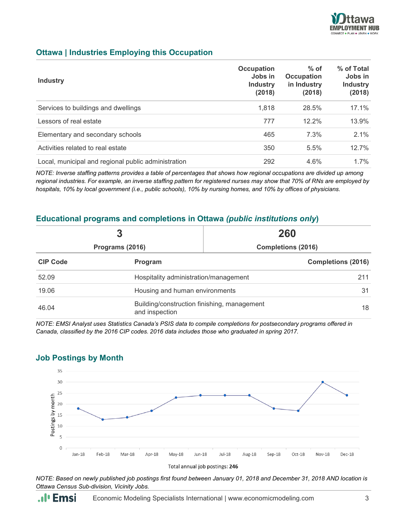

#### **Ottawa | Industries Employing this Occupation**

| <b>Industry</b>                                     | Occupation<br>Jobs in<br><b>Industry</b><br>(2018) | $%$ of<br>Occupation<br>in Industry<br>(2018) | % of Total<br>Jobs in<br><b>Industry</b><br>(2018) |
|-----------------------------------------------------|----------------------------------------------------|-----------------------------------------------|----------------------------------------------------|
| Services to buildings and dwellings                 | 1,818                                              | 28.5%                                         | 17.1%                                              |
| Lessors of real estate                              | 777                                                | $12.2\%$                                      | 13.9%                                              |
| Elementary and secondary schools                    | 465                                                | 7.3%                                          | 2.1%                                               |
| Activities related to real estate                   | 350                                                | 5.5%                                          | 12.7%                                              |
| Local, municipal and regional public administration | 292                                                | 4.6%                                          | $1.7\%$                                            |

*NOTE: Inverse staffing patterns provides a table of percentages that shows how regional occupations are divided up among regional industries. For example, an inverse staffing pattern for registered nurses may show that 70% of RNs are employed by hospitals, 10% by local government (i.e., public schools), 10% by nursing homes, and 10% by offices of physicians.*

#### **Educational programs and completions in Ottawa** *(public institutions only***)**

| 3<br>Programs (2016) |                                                                     | 260<br><b>Completions (2016)</b> |  |
|----------------------|---------------------------------------------------------------------|----------------------------------|--|
|                      |                                                                     |                                  |  |
| 52.09                | Hospitality administration/management                               |                                  |  |
| 19.06                | Housing and human environments<br>31                                |                                  |  |
| 46.04                | Building/construction finishing, management<br>18<br>and inspection |                                  |  |

*NOTE: EMSI Analyst uses Statistics Canada's PSIS data to compile completions for postsecondary programs offered in Canada, classified by the 2016 CIP codes. 2016 data includes those who graduated in spring 2017.*



#### **Job Postings by Month**

*NOTE: Based on newly published job postings first found between January 01, 2018 and December 31, 2018 AND location is Ottawa Census Sub-division, Vicinity Jobs.*